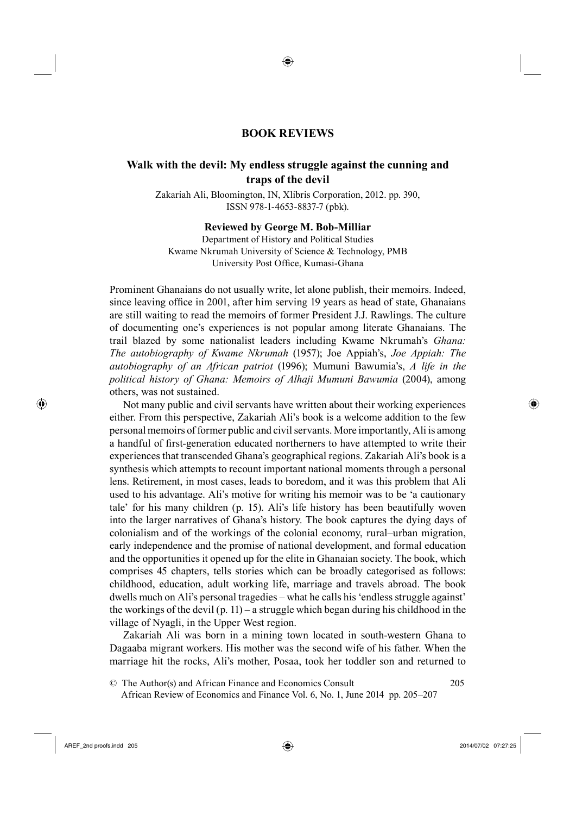## <sup>12</sup>**BOOK REVIEWS**

◈

## <sup>13</sup>**Walk with the devil: My endless struggle against the cunning and traps of the devil**

Zakariah Ali, Bloomington, IN, Xlibris Corporation, 2012. pp. 390, ISSN 978-1-4653-8837-7 (pbk).

**Reviewed by George M. Bob-Milliar**

Department of History and Political Studies Kwame Nkrumah University of Science & Technology, PMB University Post Office, Kumasi-Ghana

Prominent Ghanaians do not usually write, let alone publish, their memoirs. Indeed, since leaving office in 2001, after him serving 19 years as head of state, Ghanaians are still waiting to read the memoirs of former President J.J. Rawlings. The culture of documenting one's experiences is not popular among literate Ghanaians. The trail blazed by some nationalist leaders including Kwame Nkrumah's *Ghana: The autobiography of Kwame Nkrumah* (1957); Joe Appiah's, *Joe Appiah: The autobiography of an African patriot* (1996); Mumuni Bawumia's, *A life in the political history of Ghana: Memoirs of Alhaji Mumuni Bawumia* (2004), among others, was not sustained.

Not many public and civil servants have written about their working experiences either. From this perspective, Zakariah Ali's book is a welcome addition to the few personal memoirs of former public and civil servants. More importantly, Ali is among a handful of first-generation educated northerners to have attempted to write their experiences that transcended Ghana's geographical regions. Zakariah Ali's book is a synthesis which attempts to recount important national moments through a personal lens. Retirement, in most cases, leads to boredom, and it was this problem that Ali used to his advantage. Ali's motive for writing his memoir was to be 'a cautionary tale' for his many children (p. 15). Ali's life history has been beautifully woven into the larger narratives of Ghana's history. The book captures the dying days of colonialism and of the workings of the colonial economy, rural–urban migration, early independence and the promise of national development, and formal education and the opportunities it opened up for the elite in Ghanaian society. The book, which comprises 45 chapters, tells stories which can be broadly categorised as follows: childhood, education, adult working life, marriage and travels abroad. The book dwells much on Ali's personal tragedies – what he calls his 'endless struggle against' the workings of the devil (p. 11) – a struggle which began during his childhood in the village of Nyagli, in the Upper West region.

Zakariah Ali was born in a mining town located in south-western Ghana to Dagaaba migrant workers. His mother was the second wife of his father. When the marriage hit the rocks, Ali's mother, Posaa, took her toddler son and returned to

39© The Author(s) and African Finance and Economics Consult 205 40 African Review of Economics and Finance Vol. 6, No. 1, June 2014 pp. 205–207

⊕

⊕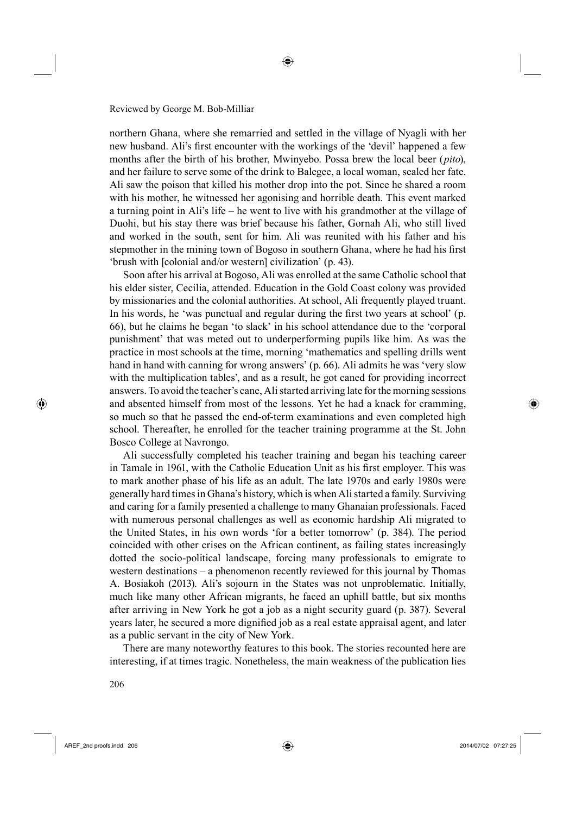northern Ghana, where she remarried and settled in the village of Nyagli with her new husband. Ali's first encounter with the workings of the 'devil' happened a few months after the birth of his brother, Mwinyebo. Possa brew the local beer (*pito*), and her failure to serve some of the drink to Balegee, a local woman, sealed her fate. Ali saw the poison that killed his mother drop into the pot. Since he shared a room with his mother, he witnessed her agonising and horrible death. This event marked a turning point in Ali's life – he went to live with his grandmother at the village of Duohi, but his stay there was brief because his father, Gornah Ali, who still lived and worked in the south, sent for him. Ali was reunited with his father and his stepmother in the mining town of Bogoso in southern Ghana, where he had his first 'brush with [colonial and/or western] civilization' (p. 43).

◈

Soon after his arrival at Bogoso, Ali was enrolled at the same Catholic school that his elder sister, Cecilia, attended. Education in the Gold Coast colony was provided by missionaries and the colonial authorities. At school, Ali frequently played truant. In his words, he 'was punctual and regular during the first two years at school' (p. 66), but he claims he began 'to slack' in his school attendance due to the 'corporal punishment' that was meted out to underperforming pupils like him. As was the practice in most schools at the time, morning 'mathematics and spelling drills went hand in hand with canning for wrong answers' (p. 66). Ali admits he was 'very slow with the multiplication tables', and as a result, he got caned for providing incorrect answers. To avoid the teacher's cane, Ali started arriving late for the morning sessions and absented himself from most of the lessons. Yet he had a knack for cramming, so much so that he passed the end-of-term examinations and even completed high school. Thereafter, he enrolled for the teacher training programme at the St. John Bosco College at Navrongo.

Ali successfully completed his teacher training and began his teaching career in Tamale in 1961, with the Catholic Education Unit as his first employer. This was to mark another phase of his life as an adult. The late 1970s and early 1980s were generally hard times in Ghana's history, which is when Ali started a family. Surviving and caring for a family presented a challenge to many Ghanaian professionals. Faced with numerous personal challenges as well as economic hardship Ali migrated to the United States, in his own words 'for a better tomorrow' (p. 384). The period coincided with other crises on the African continent, as failing states increasingly dotted the socio-political landscape, forcing many professionals to emigrate to western destinations – a phenomenon recently reviewed for this journal by Thomas A. Bosiakoh (2013). Ali's sojourn in the States was not unproblematic. Initially, much like many other African migrants, he faced an uphill battle, but six months after arriving in New York he got a job as a night security guard (p. 387). Several years later, he secured a more dignified job as a real estate appraisal agent, and later as a public servant in the city of New York.

There are many noteworthy features to this book. The stories recounted here are interesting, if at times tragic. Nonetheless, the main weakness of the publication lies

⊕

♠